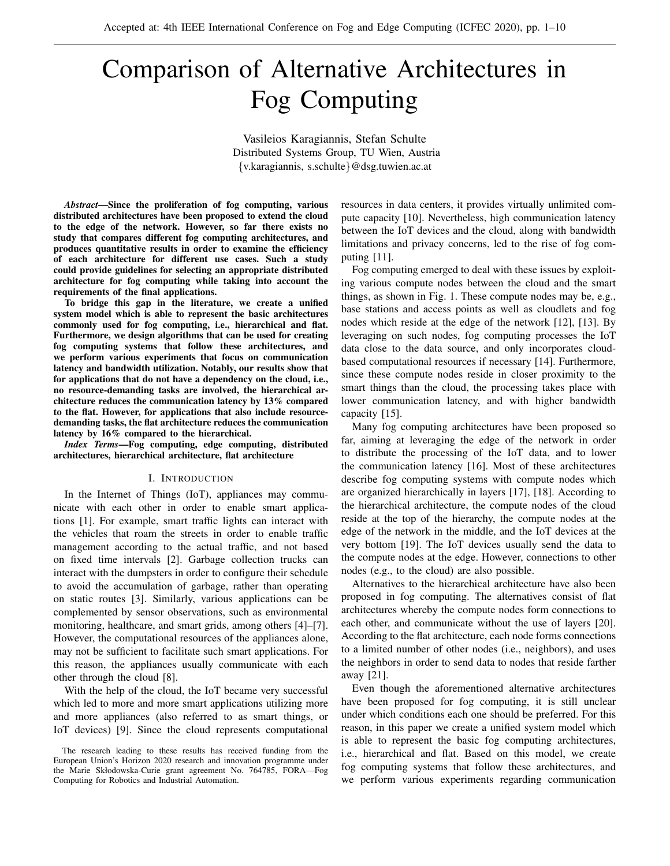# Comparison of Alternative Architectures in Fog Computing

Vasileios Karagiannis, Stefan Schulte Distributed Systems Group, TU Wien, Austria {v.karagiannis, s.schulte}@dsg.tuwien.ac.at

*Abstract*—Since the proliferation of fog computing, various distributed architectures have been proposed to extend the cloud to the edge of the network. However, so far there exists no study that compares different fog computing architectures, and produces quantitative results in order to examine the efficiency of each architecture for different use cases. Such a study could provide guidelines for selecting an appropriate distributed architecture for fog computing while taking into account the requirements of the final applications.

To bridge this gap in the literature, we create a unified system model which is able to represent the basic architectures commonly used for fog computing, i.e., hierarchical and flat. Furthermore, we design algorithms that can be used for creating fog computing systems that follow these architectures, and we perform various experiments that focus on communication latency and bandwidth utilization. Notably, our results show that for applications that do not have a dependency on the cloud, i.e., no resource-demanding tasks are involved, the hierarchical architecture reduces the communication latency by 13% compared to the flat. However, for applications that also include resourcedemanding tasks, the flat architecture reduces the communication latency by 16% compared to the hierarchical.

*Index Terms*—Fog computing, edge computing, distributed architectures, hierarchical architecture, flat architecture

#### I. INTRODUCTION

In the Internet of Things (IoT), appliances may communicate with each other in order to enable smart applications [1]. For example, smart traffic lights can interact with the vehicles that roam the streets in order to enable traffic management according to the actual traffic, and not based on fixed time intervals [2]. Garbage collection trucks can interact with the dumpsters in order to configure their schedule to avoid the accumulation of garbage, rather than operating on static routes [3]. Similarly, various applications can be complemented by sensor observations, such as environmental monitoring, healthcare, and smart grids, among others [4]–[7]. However, the computational resources of the appliances alone, may not be sufficient to facilitate such smart applications. For this reason, the appliances usually communicate with each other through the cloud [8].

With the help of the cloud, the IoT became very successful which led to more and more smart applications utilizing more and more appliances (also referred to as smart things, or IoT devices) [9]. Since the cloud represents computational

The research leading to these results has received funding from the European Union's Horizon 2020 research and innovation programme under the Marie Skłodowska-Curie grant agreement No. 764785, FORA—Fog Computing for Robotics and Industrial Automation.

resources in data centers, it provides virtually unlimited compute capacity [10]. Nevertheless, high communication latency between the IoT devices and the cloud, along with bandwidth limitations and privacy concerns, led to the rise of fog computing [11].

Fog computing emerged to deal with these issues by exploiting various compute nodes between the cloud and the smart things, as shown in Fig. 1. These compute nodes may be, e.g., base stations and access points as well as cloudlets and fog nodes which reside at the edge of the network [12], [13]. By leveraging on such nodes, fog computing processes the IoT data close to the data source, and only incorporates cloudbased computational resources if necessary [14]. Furthermore, since these compute nodes reside in closer proximity to the smart things than the cloud, the processing takes place with lower communication latency, and with higher bandwidth capacity [15].

Many fog computing architectures have been proposed so far, aiming at leveraging the edge of the network in order to distribute the processing of the IoT data, and to lower the communication latency [16]. Most of these architectures describe fog computing systems with compute nodes which are organized hierarchically in layers [17], [18]. According to the hierarchical architecture, the compute nodes of the cloud reside at the top of the hierarchy, the compute nodes at the edge of the network in the middle, and the IoT devices at the very bottom [19]. The IoT devices usually send the data to the compute nodes at the edge. However, connections to other nodes (e.g., to the cloud) are also possible.

Alternatives to the hierarchical architecture have also been proposed in fog computing. The alternatives consist of flat architectures whereby the compute nodes form connections to each other, and communicate without the use of layers [20]. According to the flat architecture, each node forms connections to a limited number of other nodes (i.e., neighbors), and uses the neighbors in order to send data to nodes that reside farther away [21].

Even though the aforementioned alternative architectures have been proposed for fog computing, it is still unclear under which conditions each one should be preferred. For this reason, in this paper we create a unified system model which is able to represent the basic fog computing architectures, i.e., hierarchical and flat. Based on this model, we create fog computing systems that follow these architectures, and we perform various experiments regarding communication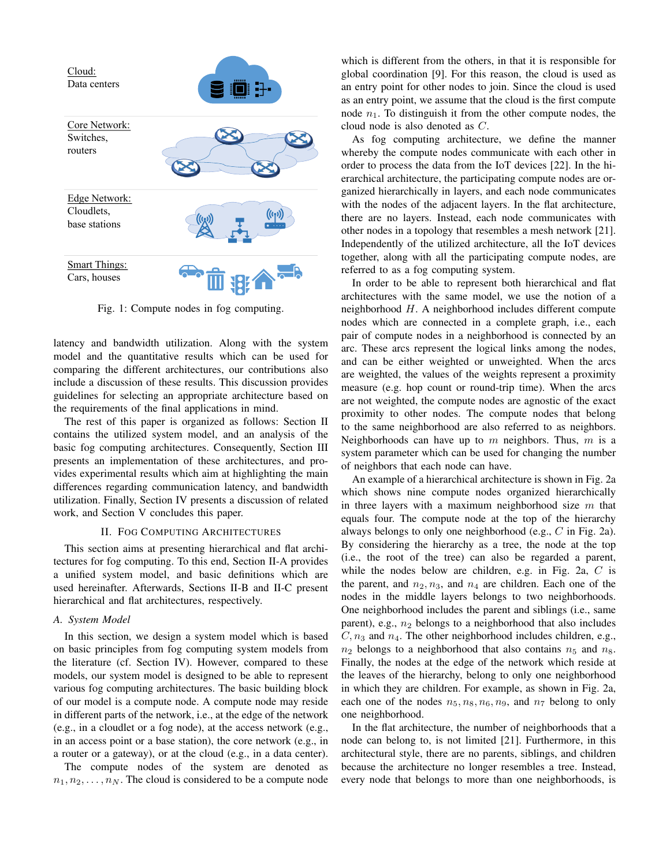

Fig. 1: Compute nodes in fog computing.

latency and bandwidth utilization. Along with the system model and the quantitative results which can be used for comparing the different architectures, our contributions also include a discussion of these results. This discussion provides guidelines for selecting an appropriate architecture based on the requirements of the final applications in mind.

The rest of this paper is organized as follows: Section II contains the utilized system model, and an analysis of the basic fog computing architectures. Consequently, Section III presents an implementation of these architectures, and provides experimental results which aim at highlighting the main differences regarding communication latency, and bandwidth utilization. Finally, Section IV presents a discussion of related work, and Section V concludes this paper.

## II. FOG COMPUTING ARCHITECTURES

This section aims at presenting hierarchical and flat architectures for fog computing. To this end, Section II-A provides a unified system model, and basic definitions which are used hereinafter. Afterwards, Sections II-B and II-C present hierarchical and flat architectures, respectively.

#### *A. System Model*

In this section, we design a system model which is based on basic principles from fog computing system models from the literature (cf. Section IV). However, compared to these models, our system model is designed to be able to represent various fog computing architectures. The basic building block of our model is a compute node. A compute node may reside in different parts of the network, i.e., at the edge of the network (e.g., in a cloudlet or a fog node), at the access network (e.g., in an access point or a base station), the core network (e.g., in a router or a gateway), or at the cloud (e.g., in a data center).

The compute nodes of the system are denoted as  $n_1, n_2, \ldots, n_N$ . The cloud is considered to be a compute node

which is different from the others, in that it is responsible for global coordination [9]. For this reason, the cloud is used as an entry point for other nodes to join. Since the cloud is used as an entry point, we assume that the cloud is the first compute node  $n_1$ . To distinguish it from the other compute nodes, the cloud node is also denoted as C.

As fog computing architecture, we define the manner whereby the compute nodes communicate with each other in order to process the data from the IoT devices [22]. In the hierarchical architecture, the participating compute nodes are organized hierarchically in layers, and each node communicates with the nodes of the adjacent layers. In the flat architecture, there are no layers. Instead, each node communicates with other nodes in a topology that resembles a mesh network [21]. Independently of the utilized architecture, all the IoT devices together, along with all the participating compute nodes, are referred to as a fog computing system.

In order to be able to represent both hierarchical and flat architectures with the same model, we use the notion of a neighborhood H. A neighborhood includes different compute nodes which are connected in a complete graph, i.e., each pair of compute nodes in a neighborhood is connected by an arc. These arcs represent the logical links among the nodes, and can be either weighted or unweighted. When the arcs are weighted, the values of the weights represent a proximity measure (e.g. hop count or round-trip time). When the arcs are not weighted, the compute nodes are agnostic of the exact proximity to other nodes. The compute nodes that belong to the same neighborhood are also referred to as neighbors. Neighborhoods can have up to  $m$  neighbors. Thus,  $m$  is a system parameter which can be used for changing the number of neighbors that each node can have.

An example of a hierarchical architecture is shown in Fig. 2a which shows nine compute nodes organized hierarchically in three layers with a maximum neighborhood size  $m$  that equals four. The compute node at the top of the hierarchy always belongs to only one neighborhood (e.g., C in Fig. 2a). By considering the hierarchy as a tree, the node at the top (i.e., the root of the tree) can also be regarded a parent, while the nodes below are children, e.g. in Fig. 2a,  $C$  is the parent, and  $n_2, n_3$ , and  $n_4$  are children. Each one of the nodes in the middle layers belongs to two neighborhoods. One neighborhood includes the parent and siblings (i.e., same parent), e.g.,  $n_2$  belongs to a neighborhood that also includes  $C$ ,  $n_3$  and  $n_4$ . The other neighborhood includes children, e.g.,  $n_2$  belongs to a neighborhood that also contains  $n_5$  and  $n_8$ . Finally, the nodes at the edge of the network which reside at the leaves of the hierarchy, belong to only one neighborhood in which they are children. For example, as shown in Fig. 2a, each one of the nodes  $n_5, n_8, n_6, n_9$ , and  $n_7$  belong to only one neighborhood.

In the flat architecture, the number of neighborhoods that a node can belong to, is not limited [21]. Furthermore, in this architectural style, there are no parents, siblings, and children because the architecture no longer resembles a tree. Instead, every node that belongs to more than one neighborhoods, is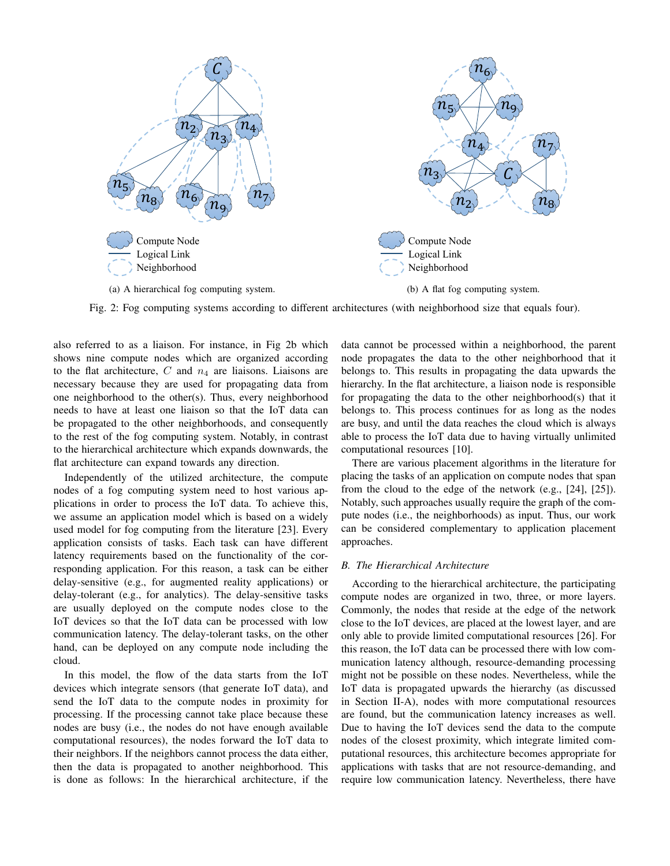

Fig. 2: Fog computing systems according to different architectures (with neighborhood size that equals four).

also referred to as a liaison. For instance, in Fig 2b which shows nine compute nodes which are organized according to the flat architecture,  $C$  and  $n_4$  are liaisons. Liaisons are necessary because they are used for propagating data from one neighborhood to the other(s). Thus, every neighborhood needs to have at least one liaison so that the IoT data can be propagated to the other neighborhoods, and consequently to the rest of the fog computing system. Notably, in contrast to the hierarchical architecture which expands downwards, the flat architecture can expand towards any direction.

Independently of the utilized architecture, the compute nodes of a fog computing system need to host various applications in order to process the IoT data. To achieve this, we assume an application model which is based on a widely used model for fog computing from the literature [23]. Every application consists of tasks. Each task can have different latency requirements based on the functionality of the corresponding application. For this reason, a task can be either delay-sensitive (e.g., for augmented reality applications) or delay-tolerant (e.g., for analytics). The delay-sensitive tasks are usually deployed on the compute nodes close to the IoT devices so that the IoT data can be processed with low communication latency. The delay-tolerant tasks, on the other hand, can be deployed on any compute node including the cloud.

In this model, the flow of the data starts from the IoT devices which integrate sensors (that generate IoT data), and send the IoT data to the compute nodes in proximity for processing. If the processing cannot take place because these nodes are busy (i.e., the nodes do not have enough available computational resources), the nodes forward the IoT data to their neighbors. If the neighbors cannot process the data either, then the data is propagated to another neighborhood. This is done as follows: In the hierarchical architecture, if the data cannot be processed within a neighborhood, the parent node propagates the data to the other neighborhood that it belongs to. This results in propagating the data upwards the hierarchy. In the flat architecture, a liaison node is responsible for propagating the data to the other neighborhood(s) that it belongs to. This process continues for as long as the nodes are busy, and until the data reaches the cloud which is always able to process the IoT data due to having virtually unlimited computational resources [10].

There are various placement algorithms in the literature for placing the tasks of an application on compute nodes that span from the cloud to the edge of the network (e.g., [24], [25]). Notably, such approaches usually require the graph of the compute nodes (i.e., the neighborhoods) as input. Thus, our work can be considered complementary to application placement approaches.

## *B. The Hierarchical Architecture*

According to the hierarchical architecture, the participating compute nodes are organized in two, three, or more layers. Commonly, the nodes that reside at the edge of the network close to the IoT devices, are placed at the lowest layer, and are only able to provide limited computational resources [26]. For this reason, the IoT data can be processed there with low communication latency although, resource-demanding processing might not be possible on these nodes. Nevertheless, while the IoT data is propagated upwards the hierarchy (as discussed in Section II-A), nodes with more computational resources are found, but the communication latency increases as well. Due to having the IoT devices send the data to the compute nodes of the closest proximity, which integrate limited computational resources, this architecture becomes appropriate for applications with tasks that are not resource-demanding, and require low communication latency. Nevertheless, there have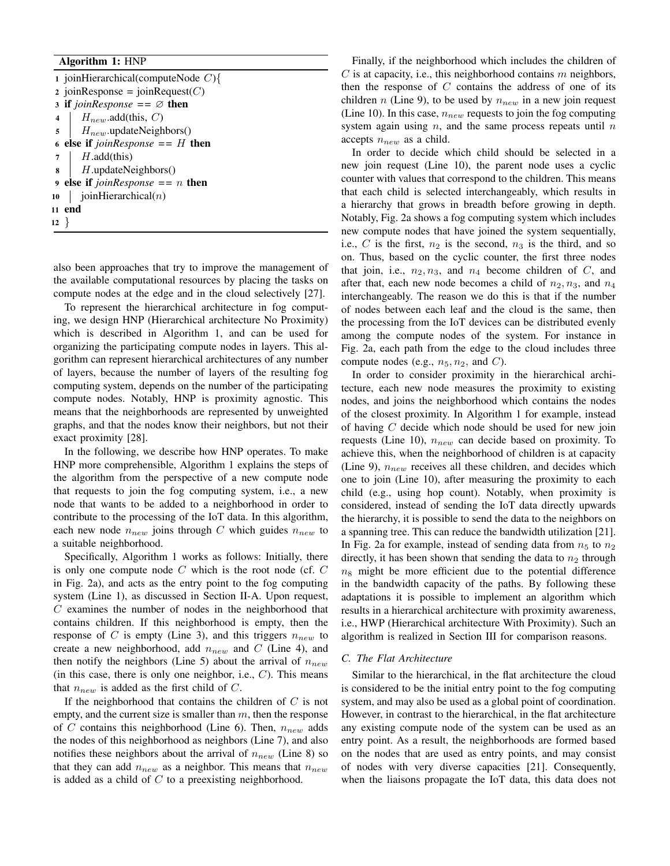# Algorithm 1: HNP

|        | 1 joinHierarchical(computeNode $C$ ){         |  |  |  |  |  |
|--------|-----------------------------------------------|--|--|--|--|--|
|        | 2 joinResponse = joinRequest $(C)$            |  |  |  |  |  |
|        | 3 if joinResponse == $\varnothing$ then       |  |  |  |  |  |
|        | $H_{new}$ add(this, C)<br>$4 \mid$            |  |  |  |  |  |
|        | $\mathfrak{s}$   $H_{new}$ update Neighbors() |  |  |  |  |  |
|        | 6 else if $joinResponse == H$ then            |  |  |  |  |  |
|        | $H$ .add(this)<br>$7 \mid$                    |  |  |  |  |  |
|        | $\mathbf{g}$   <i>H</i> .updateNeighbors()    |  |  |  |  |  |
|        | 9 else if $joinResponse == n$ then            |  |  |  |  |  |
| 10     | I<br>joinHierarchical $(n)$                   |  |  |  |  |  |
|        | 11 end                                        |  |  |  |  |  |
| $12$ } |                                               |  |  |  |  |  |
|        |                                               |  |  |  |  |  |

also been approaches that try to improve the management of the available computational resources by placing the tasks on compute nodes at the edge and in the cloud selectively [27].

To represent the hierarchical architecture in fog computing, we design HNP (Hierarchical architecture No Proximity) which is described in Algorithm 1, and can be used for organizing the participating compute nodes in layers. This algorithm can represent hierarchical architectures of any number of layers, because the number of layers of the resulting fog computing system, depends on the number of the participating compute nodes. Notably, HNP is proximity agnostic. This means that the neighborhoods are represented by unweighted graphs, and that the nodes know their neighbors, but not their exact proximity [28].

In the following, we describe how HNP operates. To make HNP more comprehensible, Algorithm 1 explains the steps of the algorithm from the perspective of a new compute node that requests to join the fog computing system, i.e., a new node that wants to be added to a neighborhood in order to contribute to the processing of the IoT data. In this algorithm, each new node  $n_{new}$  joins through C which guides  $n_{new}$  to a suitable neighborhood.

Specifically, Algorithm 1 works as follows: Initially, there is only one compute node  $C$  which is the root node (cf.  $C$ in Fig. 2a), and acts as the entry point to the fog computing system (Line 1), as discussed in Section II-A. Upon request,  $C$  examines the number of nodes in the neighborhood that contains children. If this neighborhood is empty, then the response of C is empty (Line 3), and this triggers  $n_{new}$  to create a new neighborhood, add  $n_{new}$  and C (Line 4), and then notify the neighbors (Line 5) about the arrival of  $n_{new}$ (in this case, there is only one neighbor, i.e.,  $C$ ). This means that  $n_{new}$  is added as the first child of C.

If the neighborhood that contains the children of  $C$  is not empty, and the current size is smaller than  $m$ , then the response of C contains this neighborhood (Line 6). Then,  $n_{new}$  adds the nodes of this neighborhood as neighbors (Line 7), and also notifies these neighbors about the arrival of  $n_{new}$  (Line 8) so that they can add  $n_{new}$  as a neighbor. This means that  $n_{new}$ is added as a child of  $C$  to a preexisting neighborhood.

Finally, if the neighborhood which includes the children of  $C$  is at capacity, i.e., this neighborhood contains  $m$  neighbors, then the response of  $C$  contains the address of one of its children n (Line 9), to be used by  $n_{new}$  in a new join request (Line 10). In this case,  $n_{new}$  requests to join the fog computing system again using  $n$ , and the same process repeats until  $n$ accepts  $n_{new}$  as a child.

In order to decide which child should be selected in a new join request (Line 10), the parent node uses a cyclic counter with values that correspond to the children. This means that each child is selected interchangeably, which results in a hierarchy that grows in breadth before growing in depth. Notably, Fig. 2a shows a fog computing system which includes new compute nodes that have joined the system sequentially, i.e., C is the first,  $n_2$  is the second,  $n_3$  is the third, and so on. Thus, based on the cyclic counter, the first three nodes that join, i.e.,  $n_2, n_3$ , and  $n_4$  become children of C, and after that, each new node becomes a child of  $n_2, n_3$ , and  $n_4$ interchangeably. The reason we do this is that if the number of nodes between each leaf and the cloud is the same, then the processing from the IoT devices can be distributed evenly among the compute nodes of the system. For instance in Fig. 2a, each path from the edge to the cloud includes three compute nodes (e.g.,  $n_5$ ,  $n_2$ , and C).

In order to consider proximity in the hierarchical architecture, each new node measures the proximity to existing nodes, and joins the neighborhood which contains the nodes of the closest proximity. In Algorithm 1 for example, instead of having C decide which node should be used for new join requests (Line 10),  $n_{new}$  can decide based on proximity. To achieve this, when the neighborhood of children is at capacity (Line 9),  $n_{new}$  receives all these children, and decides which one to join (Line 10), after measuring the proximity to each child (e.g., using hop count). Notably, when proximity is considered, instead of sending the IoT data directly upwards the hierarchy, it is possible to send the data to the neighbors on a spanning tree. This can reduce the bandwidth utilization [21]. In Fig. 2a for example, instead of sending data from  $n_5$  to  $n_2$ directly, it has been shown that sending the data to  $n_2$  through  $n_8$  might be more efficient due to the potential difference in the bandwidth capacity of the paths. By following these adaptations it is possible to implement an algorithm which results in a hierarchical architecture with proximity awareness, i.e., HWP (Hierarchical architecture With Proximity). Such an algorithm is realized in Section III for comparison reasons.

#### *C. The Flat Architecture*

Similar to the hierarchical, in the flat architecture the cloud is considered to be the initial entry point to the fog computing system, and may also be used as a global point of coordination. However, in contrast to the hierarchical, in the flat architecture any existing compute node of the system can be used as an entry point. As a result, the neighborhoods are formed based on the nodes that are used as entry points, and may consist of nodes with very diverse capacities [21]. Consequently, when the liaisons propagate the IoT data, this data does not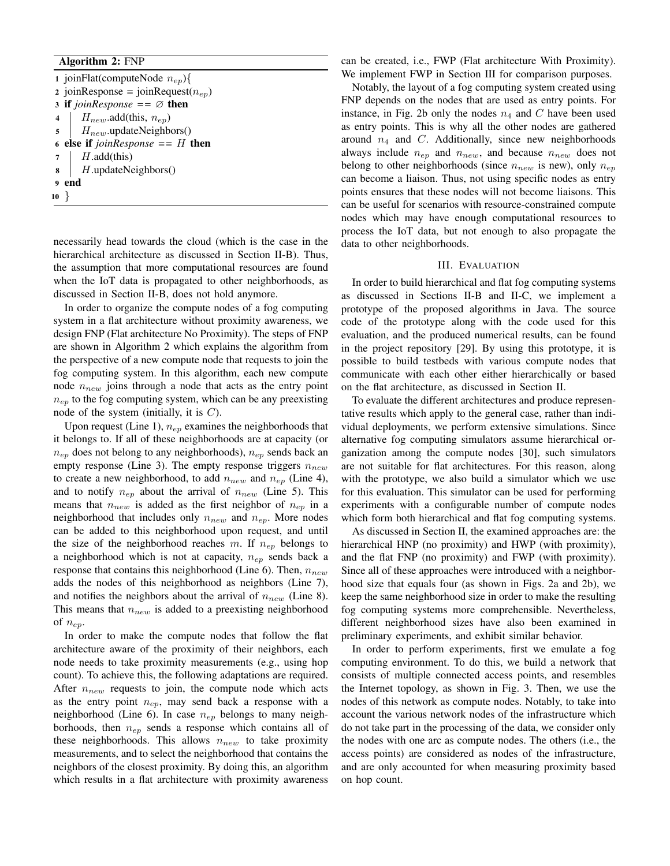# Algorithm 2: FNP

1 joinFlat(computeNode  $n_{ep}$ ){ 2 joinResponse = joinRequest $(n_{ep})$ 3 if  $\mathit{joinResponse} == \emptyset$  then 4 |  $H_{new}$ .add(this,  $n_{ep}$ )  $5 \mid H_{new}.updateNeighbors()$ <sup>6</sup> else if *joinResponse ==* H then  $7$  |  $H.add(this)$  $\bf{8}$  | H.updateNeighbors() 9 end <sup>10</sup> }

necessarily head towards the cloud (which is the case in the hierarchical architecture as discussed in Section II-B). Thus, the assumption that more computational resources are found when the IoT data is propagated to other neighborhoods, as discussed in Section II-B, does not hold anymore.

In order to organize the compute nodes of a fog computing system in a flat architecture without proximity awareness, we design FNP (Flat architecture No Proximity). The steps of FNP are shown in Algorithm 2 which explains the algorithm from the perspective of a new compute node that requests to join the fog computing system. In this algorithm, each new compute node  $n_{new}$  joins through a node that acts as the entry point  $n_{ep}$  to the fog computing system, which can be any preexisting node of the system (initially, it is  $C$ ).

Upon request (Line 1),  $n_{ep}$  examines the neighborhoods that it belongs to. If all of these neighborhoods are at capacity (or  $n_{ep}$  does not belong to any neighborhoods),  $n_{ep}$  sends back an empty response (Line 3). The empty response triggers  $n_{new}$ to create a new neighborhood, to add  $n_{new}$  and  $n_{ep}$  (Line 4), and to notify  $n_{ep}$  about the arrival of  $n_{new}$  (Line 5). This means that  $n_{new}$  is added as the first neighbor of  $n_{ep}$  in a neighborhood that includes only  $n_{new}$  and  $n_{ep}$ . More nodes can be added to this neighborhood upon request, and until the size of the neighborhood reaches m. If  $n_{en}$  belongs to a neighborhood which is not at capacity,  $n_{ep}$  sends back a response that contains this neighborhood (Line 6). Then,  $n_{new}$ adds the nodes of this neighborhood as neighbors (Line 7), and notifies the neighbors about the arrival of  $n_{new}$  (Line 8). This means that  $n_{new}$  is added to a preexisting neighborhood of  $n_{ep}$ .

In order to make the compute nodes that follow the flat architecture aware of the proximity of their neighbors, each node needs to take proximity measurements (e.g., using hop count). To achieve this, the following adaptations are required. After  $n_{new}$  requests to join, the compute node which acts as the entry point  $n_{ep}$ , may send back a response with a neighborhood (Line 6). In case  $n_{ep}$  belongs to many neighborhoods, then  $n_{ep}$  sends a response which contains all of these neighborhoods. This allows  $n_{new}$  to take proximity measurements, and to select the neighborhood that contains the neighbors of the closest proximity. By doing this, an algorithm which results in a flat architecture with proximity awareness can be created, i.e., FWP (Flat architecture With Proximity). We implement FWP in Section III for comparison purposes.

Notably, the layout of a fog computing system created using FNP depends on the nodes that are used as entry points. For instance, in Fig. 2b only the nodes  $n_4$  and C have been used as entry points. This is why all the other nodes are gathered around  $n_4$  and C. Additionally, since new neighborhoods always include  $n_{ep}$  and  $n_{new}$ , and because  $n_{new}$  does not belong to other neighborhoods (since  $n_{new}$  is new), only  $n_{ep}$ can become a liaison. Thus, not using specific nodes as entry points ensures that these nodes will not become liaisons. This can be useful for scenarios with resource-constrained compute nodes which may have enough computational resources to process the IoT data, but not enough to also propagate the data to other neighborhoods.

### III. EVALUATION

In order to build hierarchical and flat fog computing systems as discussed in Sections II-B and II-C, we implement a prototype of the proposed algorithms in Java. The source code of the prototype along with the code used for this evaluation, and the produced numerical results, can be found in the project repository [29]. By using this prototype, it is possible to build testbeds with various compute nodes that communicate with each other either hierarchically or based on the flat architecture, as discussed in Section II.

To evaluate the different architectures and produce representative results which apply to the general case, rather than individual deployments, we perform extensive simulations. Since alternative fog computing simulators assume hierarchical organization among the compute nodes [30], such simulators are not suitable for flat architectures. For this reason, along with the prototype, we also build a simulator which we use for this evaluation. This simulator can be used for performing experiments with a configurable number of compute nodes which form both hierarchical and flat fog computing systems.

As discussed in Section II, the examined approaches are: the hierarchical HNP (no proximity) and HWP (with proximity), and the flat FNP (no proximity) and FWP (with proximity). Since all of these approaches were introduced with a neighborhood size that equals four (as shown in Figs. 2a and 2b), we keep the same neighborhood size in order to make the resulting fog computing systems more comprehensible. Nevertheless, different neighborhood sizes have also been examined in preliminary experiments, and exhibit similar behavior.

In order to perform experiments, first we emulate a fog computing environment. To do this, we build a network that consists of multiple connected access points, and resembles the Internet topology, as shown in Fig. 3. Then, we use the nodes of this network as compute nodes. Notably, to take into account the various network nodes of the infrastructure which do not take part in the processing of the data, we consider only the nodes with one arc as compute nodes. The others (i.e., the access points) are considered as nodes of the infrastructure, and are only accounted for when measuring proximity based on hop count.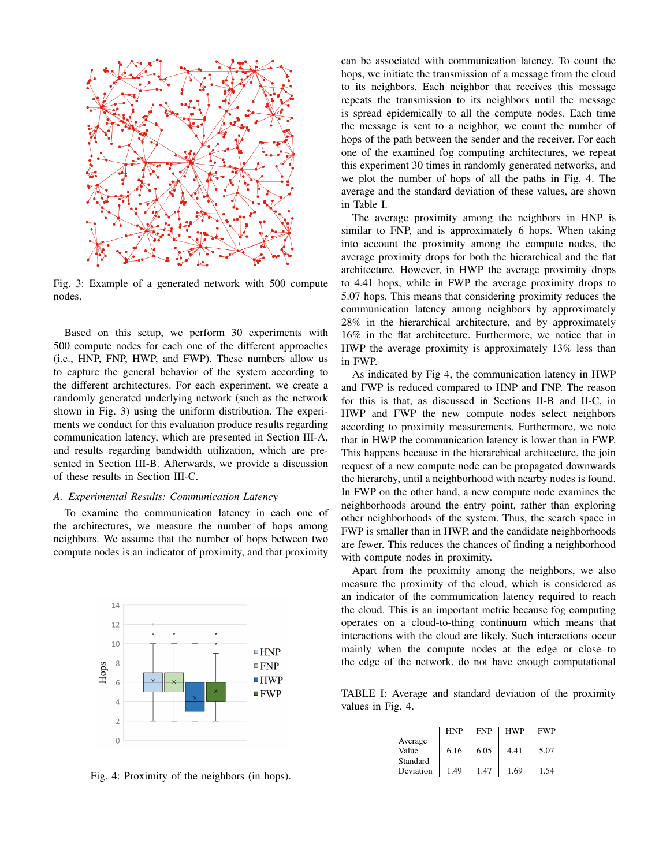

Fig. 3: Example of a generated network with 500 compute nodes.

Based on this setup, we perform 30 experiments with 500 compute nodes for each one of the different approaches (i.e., HNP, FNP, HWP, and FWP). These numbers allow us to capture the general behavior of the system according to the different architectures. For each experiment, we create a randomly generated underlying network (such as the network shown in Fig. 3) using the uniform distribution. The experiments we conduct for this evaluation produce results regarding communication latency, which are presented in Section III-A, and results regarding bandwidth utilization, which are presented in Section III-B. Afterwards, we provide a discussion of these results in Section III-C.

#### *A. Experimental Results: Communication Latency*

To examine the communication latency in each one of the architectures, we measure the number of hops among neighbors. We assume that the number of hops between two compute nodes is an indicator of proximity, and that proximity



Fig. 4: Proximity of the neighbors (in hops).

can be associated with communication latency. To count the hops, we initiate the transmission of a message from the cloud to its neighbors. Each neighbor that receives this message repeats the transmission to its neighbors until the message is spread epidemically to all the compute nodes. Each time the message is sent to a neighbor, we count the number of hops of the path between the sender and the receiver. For each one of the examined fog computing architectures, we repeat this experiment 30 times in randomly generated networks, and we plot the number of hops of all the paths in Fig. 4. The average and the standard deviation of these values, are shown in Table I.

The average proximity among the neighbors in HNP is similar to FNP, and is approximately 6 hops. When taking into account the proximity among the compute nodes, the average proximity drops for both the hierarchical and the flat architecture. However, in HWP the average proximity drops to 4.41 hops, while in FWP the average proximity drops to 5.07 hops. This means that considering proximity reduces the communication latency among neighbors by approximately 28% in the hierarchical architecture, and by approximately 16% in the flat architecture. Furthermore, we notice that in HWP the average proximity is approximately 13% less than in FWP.

As indicated by Fig 4, the communication latency in HWP and FWP is reduced compared to HNP and FNP. The reason for this is that, as discussed in Sections II-B and II-C, in HWP and FWP the new compute nodes select neighbors according to proximity measurements. Furthermore, we note that in HWP the communication latency is lower than in FWP. This happens because in the hierarchical architecture, the join request of a new compute node can be propagated downwards the hierarchy, until a neighborhood with nearby nodes is found. In FWP on the other hand, a new compute node examines the neighborhoods around the entry point, rather than exploring other neighborhoods of the system. Thus, the search space in FWP is smaller than in HWP, and the candidate neighborhoods are fewer. This reduces the chances of finding a neighborhood with compute nodes in proximity.

Apart from the proximity among the neighbors, we also measure the proximity of the cloud, which is considered as an indicator of the communication latency required to reach the cloud. This is an important metric because fog computing operates on a cloud-to-thing continuum which means that interactions with the cloud are likely. Such interactions occur mainly when the compute nodes at the edge or close to the edge of the network, do not have enough computational

TABLE I: Average and standard deviation of the proximity values in Fig. 4.

|           | <b>HNP</b> | <b>FNP</b> | <b>HWP</b> | FWP  |
|-----------|------------|------------|------------|------|
| Average   |            |            |            |      |
| Value     | 6.16       | 6.05       | 441        | 5.07 |
| Standard  |            |            |            |      |
| Deviation | 1.49       | 1.47       | 1.69       | 1.54 |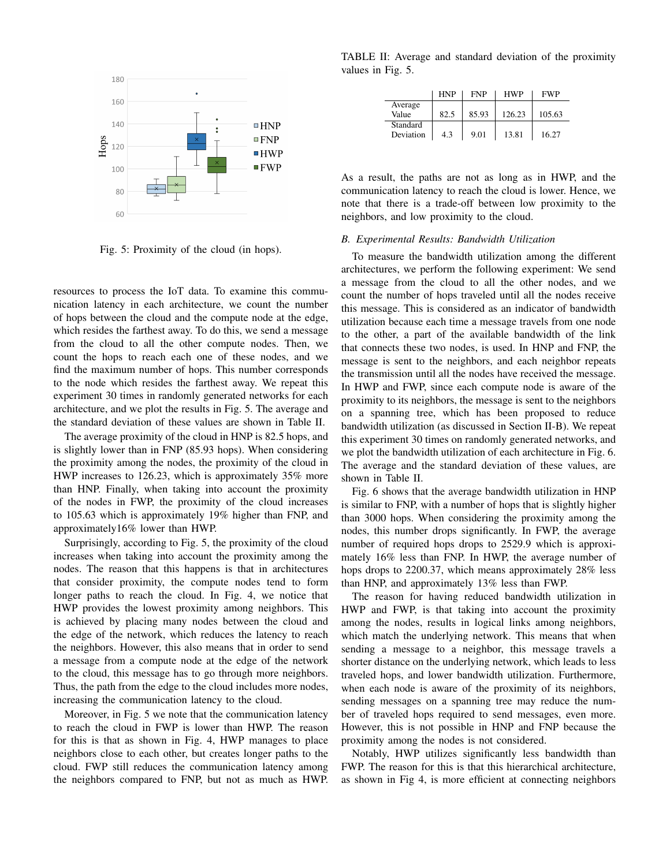

Fig. 5: Proximity of the cloud (in hops).

resources to process the IoT data. To examine this communication latency in each architecture, we count the number of hops between the cloud and the compute node at the edge, which resides the farthest away. To do this, we send a message from the cloud to all the other compute nodes. Then, we count the hops to reach each one of these nodes, and we find the maximum number of hops. This number corresponds to the node which resides the farthest away. We repeat this experiment 30 times in randomly generated networks for each architecture, and we plot the results in Fig. 5. The average and the standard deviation of these values are shown in Table II.

The average proximity of the cloud in HNP is 82.5 hops, and is slightly lower than in FNP (85.93 hops). When considering the proximity among the nodes, the proximity of the cloud in HWP increases to 126.23, which is approximately 35% more than HNP. Finally, when taking into account the proximity of the nodes in FWP, the proximity of the cloud increases to 105.63 which is approximately 19% higher than FNP, and approximately16% lower than HWP.

Surprisingly, according to Fig. 5, the proximity of the cloud increases when taking into account the proximity among the nodes. The reason that this happens is that in architectures that consider proximity, the compute nodes tend to form longer paths to reach the cloud. In Fig. 4, we notice that HWP provides the lowest proximity among neighbors. This is achieved by placing many nodes between the cloud and the edge of the network, which reduces the latency to reach the neighbors. However, this also means that in order to send a message from a compute node at the edge of the network to the cloud, this message has to go through more neighbors. Thus, the path from the edge to the cloud includes more nodes, increasing the communication latency to the cloud.

Moreover, in Fig. 5 we note that the communication latency to reach the cloud in FWP is lower than HWP. The reason for this is that as shown in Fig. 4, HWP manages to place neighbors close to each other, but creates longer paths to the cloud. FWP still reduces the communication latency among the neighbors compared to FNP, but not as much as HWP.

TABLE II: Average and standard deviation of the proximity values in Fig. 5.

|                       | HNP  | <b>FNP</b> | <b>HWP</b> | FWP    |
|-----------------------|------|------------|------------|--------|
| Average<br>Value      | 82.5 | 85.93      | 126.23     | 105.63 |
| Standard<br>Deviation | 4.3  | 9.01       | 13.81      | 16.27  |

As a result, the paths are not as long as in HWP, and the communication latency to reach the cloud is lower. Hence, we note that there is a trade-off between low proximity to the neighbors, and low proximity to the cloud.

#### *B. Experimental Results: Bandwidth Utilization*

To measure the bandwidth utilization among the different architectures, we perform the following experiment: We send a message from the cloud to all the other nodes, and we count the number of hops traveled until all the nodes receive this message. This is considered as an indicator of bandwidth utilization because each time a message travels from one node to the other, a part of the available bandwidth of the link that connects these two nodes, is used. In HNP and FNP, the message is sent to the neighbors, and each neighbor repeats the transmission until all the nodes have received the message. In HWP and FWP, since each compute node is aware of the proximity to its neighbors, the message is sent to the neighbors on a spanning tree, which has been proposed to reduce bandwidth utilization (as discussed in Section II-B). We repeat this experiment 30 times on randomly generated networks, and we plot the bandwidth utilization of each architecture in Fig. 6. The average and the standard deviation of these values, are shown in Table II.

Fig. 6 shows that the average bandwidth utilization in HNP is similar to FNP, with a number of hops that is slightly higher than 3000 hops. When considering the proximity among the nodes, this number drops significantly. In FWP, the average number of required hops drops to 2529.9 which is approximately 16% less than FNP. In HWP, the average number of hops drops to 2200.37, which means approximately 28% less than HNP, and approximately 13% less than FWP.

The reason for having reduced bandwidth utilization in HWP and FWP, is that taking into account the proximity among the nodes, results in logical links among neighbors, which match the underlying network. This means that when sending a message to a neighbor, this message travels a shorter distance on the underlying network, which leads to less traveled hops, and lower bandwidth utilization. Furthermore, when each node is aware of the proximity of its neighbors, sending messages on a spanning tree may reduce the number of traveled hops required to send messages, even more. However, this is not possible in HNP and FNP because the proximity among the nodes is not considered.

Notably, HWP utilizes significantly less bandwidth than FWP. The reason for this is that this hierarchical architecture, as shown in Fig 4, is more efficient at connecting neighbors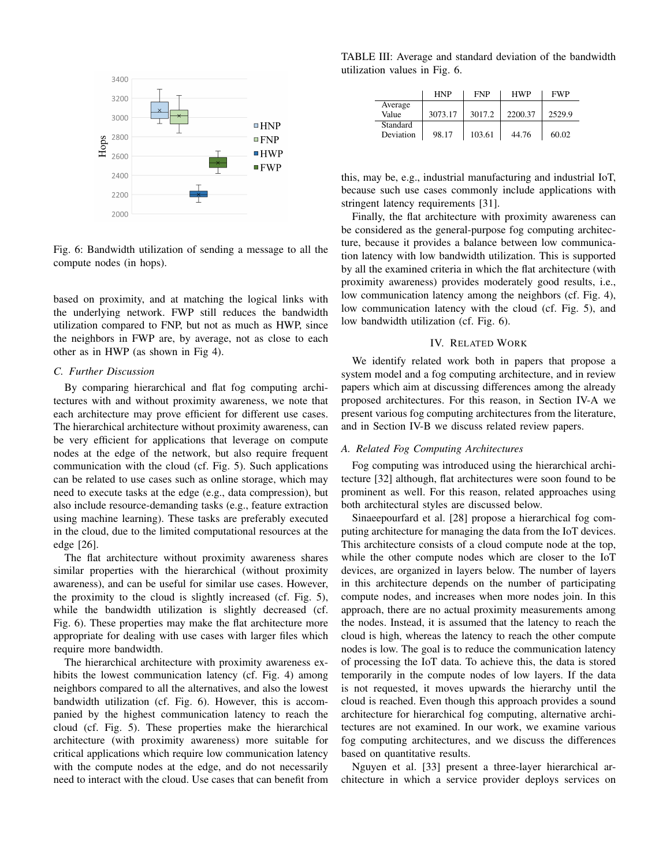

Fig. 6: Bandwidth utilization of sending a message to all the compute nodes (in hops).

based on proximity, and at matching the logical links with the underlying network. FWP still reduces the bandwidth utilization compared to FNP, but not as much as HWP, since the neighbors in FWP are, by average, not as close to each other as in HWP (as shown in Fig 4).

#### *C. Further Discussion*

By comparing hierarchical and flat fog computing architectures with and without proximity awareness, we note that each architecture may prove efficient for different use cases. The hierarchical architecture without proximity awareness, can be very efficient for applications that leverage on compute nodes at the edge of the network, but also require frequent communication with the cloud (cf. Fig. 5). Such applications can be related to use cases such as online storage, which may need to execute tasks at the edge (e.g., data compression), but also include resource-demanding tasks (e.g., feature extraction using machine learning). These tasks are preferably executed in the cloud, due to the limited computational resources at the edge [26].

The flat architecture without proximity awareness shares similar properties with the hierarchical (without proximity awareness), and can be useful for similar use cases. However, the proximity to the cloud is slightly increased (cf. Fig. 5), while the bandwidth utilization is slightly decreased (cf. Fig. 6). These properties may make the flat architecture more appropriate for dealing with use cases with larger files which require more bandwidth.

The hierarchical architecture with proximity awareness exhibits the lowest communication latency (cf. Fig. 4) among neighbors compared to all the alternatives, and also the lowest bandwidth utilization (cf. Fig. 6). However, this is accompanied by the highest communication latency to reach the cloud (cf. Fig. 5). These properties make the hierarchical architecture (with proximity awareness) more suitable for critical applications which require low communication latency with the compute nodes at the edge, and do not necessarily need to interact with the cloud. Use cases that can benefit from

TABLE III: Average and standard deviation of the bandwidth utilization values in Fig. 6.

|                       | <b>HNP</b> | <b>FNP</b> | <b>HWP</b> | <b>FWP</b> |
|-----------------------|------------|------------|------------|------------|
| Average<br>Value      | 3073.17    | 3017.2     | 2200.37    | 2529.9     |
| Standard<br>Deviation | 98.17      | 103.61     | 44.76      | 60.02      |

this, may be, e.g., industrial manufacturing and industrial IoT, because such use cases commonly include applications with stringent latency requirements [31].

Finally, the flat architecture with proximity awareness can be considered as the general-purpose fog computing architecture, because it provides a balance between low communication latency with low bandwidth utilization. This is supported by all the examined criteria in which the flat architecture (with proximity awareness) provides moderately good results, i.e., low communication latency among the neighbors (cf. Fig. 4), low communication latency with the cloud (cf. Fig. 5), and low bandwidth utilization (cf. Fig. 6).

## IV. RELATED WORK

We identify related work both in papers that propose a system model and a fog computing architecture, and in review papers which aim at discussing differences among the already proposed architectures. For this reason, in Section IV-A we present various fog computing architectures from the literature, and in Section IV-B we discuss related review papers.

## *A. Related Fog Computing Architectures*

Fog computing was introduced using the hierarchical architecture [32] although, flat architectures were soon found to be prominent as well. For this reason, related approaches using both architectural styles are discussed below.

Sinaeepourfard et al. [28] propose a hierarchical fog computing architecture for managing the data from the IoT devices. This architecture consists of a cloud compute node at the top, while the other compute nodes which are closer to the IoT devices, are organized in layers below. The number of layers in this architecture depends on the number of participating compute nodes, and increases when more nodes join. In this approach, there are no actual proximity measurements among the nodes. Instead, it is assumed that the latency to reach the cloud is high, whereas the latency to reach the other compute nodes is low. The goal is to reduce the communication latency of processing the IoT data. To achieve this, the data is stored temporarily in the compute nodes of low layers. If the data is not requested, it moves upwards the hierarchy until the cloud is reached. Even though this approach provides a sound architecture for hierarchical fog computing, alternative architectures are not examined. In our work, we examine various fog computing architectures, and we discuss the differences based on quantitative results.

Nguyen et al. [33] present a three-layer hierarchical architecture in which a service provider deploys services on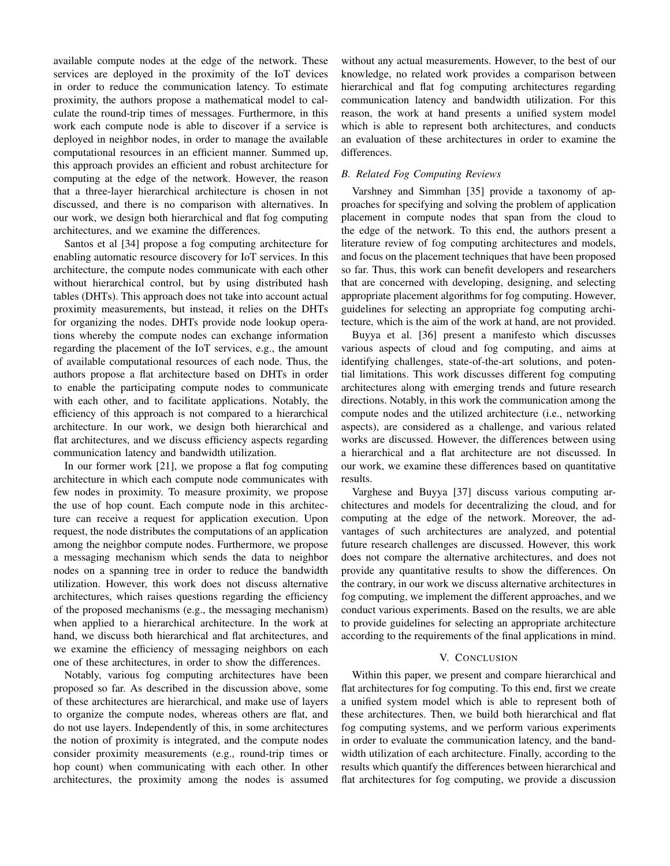available compute nodes at the edge of the network. These services are deployed in the proximity of the IoT devices in order to reduce the communication latency. To estimate proximity, the authors propose a mathematical model to calculate the round-trip times of messages. Furthermore, in this work each compute node is able to discover if a service is deployed in neighbor nodes, in order to manage the available computational resources in an efficient manner. Summed up, this approach provides an efficient and robust architecture for computing at the edge of the network. However, the reason that a three-layer hierarchical architecture is chosen in not discussed, and there is no comparison with alternatives. In our work, we design both hierarchical and flat fog computing architectures, and we examine the differences.

Santos et al [34] propose a fog computing architecture for enabling automatic resource discovery for IoT services. In this architecture, the compute nodes communicate with each other without hierarchical control, but by using distributed hash tables (DHTs). This approach does not take into account actual proximity measurements, but instead, it relies on the DHTs for organizing the nodes. DHTs provide node lookup operations whereby the compute nodes can exchange information regarding the placement of the IoT services, e.g., the amount of available computational resources of each node. Thus, the authors propose a flat architecture based on DHTs in order to enable the participating compute nodes to communicate with each other, and to facilitate applications. Notably, the efficiency of this approach is not compared to a hierarchical architecture. In our work, we design both hierarchical and flat architectures, and we discuss efficiency aspects regarding communication latency and bandwidth utilization.

In our former work [21], we propose a flat fog computing architecture in which each compute node communicates with few nodes in proximity. To measure proximity, we propose the use of hop count. Each compute node in this architecture can receive a request for application execution. Upon request, the node distributes the computations of an application among the neighbor compute nodes. Furthermore, we propose a messaging mechanism which sends the data to neighbor nodes on a spanning tree in order to reduce the bandwidth utilization. However, this work does not discuss alternative architectures, which raises questions regarding the efficiency of the proposed mechanisms (e.g., the messaging mechanism) when applied to a hierarchical architecture. In the work at hand, we discuss both hierarchical and flat architectures, and we examine the efficiency of messaging neighbors on each one of these architectures, in order to show the differences.

Notably, various fog computing architectures have been proposed so far. As described in the discussion above, some of these architectures are hierarchical, and make use of layers to organize the compute nodes, whereas others are flat, and do not use layers. Independently of this, in some architectures the notion of proximity is integrated, and the compute nodes consider proximity measurements (e.g., round-trip times or hop count) when communicating with each other. In other architectures, the proximity among the nodes is assumed

without any actual measurements. However, to the best of our knowledge, no related work provides a comparison between hierarchical and flat fog computing architectures regarding communication latency and bandwidth utilization. For this reason, the work at hand presents a unified system model which is able to represent both architectures, and conducts an evaluation of these architectures in order to examine the differences.

# *B. Related Fog Computing Reviews*

Varshney and Simmhan [35] provide a taxonomy of approaches for specifying and solving the problem of application placement in compute nodes that span from the cloud to the edge of the network. To this end, the authors present a literature review of fog computing architectures and models, and focus on the placement techniques that have been proposed so far. Thus, this work can benefit developers and researchers that are concerned with developing, designing, and selecting appropriate placement algorithms for fog computing. However, guidelines for selecting an appropriate fog computing architecture, which is the aim of the work at hand, are not provided.

Buyya et al. [36] present a manifesto which discusses various aspects of cloud and fog computing, and aims at identifying challenges, state-of-the-art solutions, and potential limitations. This work discusses different fog computing architectures along with emerging trends and future research directions. Notably, in this work the communication among the compute nodes and the utilized architecture (i.e., networking aspects), are considered as a challenge, and various related works are discussed. However, the differences between using a hierarchical and a flat architecture are not discussed. In our work, we examine these differences based on quantitative results.

Varghese and Buyya [37] discuss various computing architectures and models for decentralizing the cloud, and for computing at the edge of the network. Moreover, the advantages of such architectures are analyzed, and potential future research challenges are discussed. However, this work does not compare the alternative architectures, and does not provide any quantitative results to show the differences. On the contrary, in our work we discuss alternative architectures in fog computing, we implement the different approaches, and we conduct various experiments. Based on the results, we are able to provide guidelines for selecting an appropriate architecture according to the requirements of the final applications in mind.

#### V. CONCLUSION

Within this paper, we present and compare hierarchical and flat architectures for fog computing. To this end, first we create a unified system model which is able to represent both of these architectures. Then, we build both hierarchical and flat fog computing systems, and we perform various experiments in order to evaluate the communication latency, and the bandwidth utilization of each architecture. Finally, according to the results which quantify the differences between hierarchical and flat architectures for fog computing, we provide a discussion